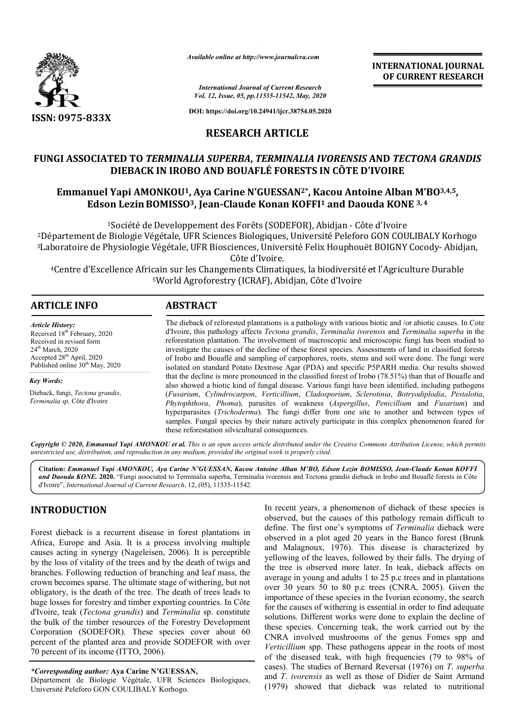

*Available online at http://www.journalcra.com*

*International Journal of Current Research Vol. 12, Issue, 05, pp.11535-11542, May, 2020*

**DOI: https://doi.org/10.24941/ijcr.38754.05.2020**

## **RESEARCH ARTICLE**

## **FUNGI ASSOCIATED TO** *TERMINALIA SUPERBA***,** *TERMINALIA IVORENSIS* **AND**  *TECTONA GRANDIS* **DIEBACK IN IROBO AND BOUAFLÉ FORESTS IN CÔTE D'IVOIRE**

# DIEBACK IN IROBO AND BOUAFLÉ FORESTS IN CÔTE D'IVOIRE<br>Emmanuel Yapi AMONKOU<sup>1</sup>, Aya Carine N'GUESSAN<sup>2\*</sup>, Kacou Antoine Alban M'BO<sup>3,4,5</sup>, **Edson LezinBOMISSO BOMISSO3, Jean-Claude Konan KOFFI1 and Daouda KONE 3, 4**

<sup>1</sup>Société de Developpement des Forêts (SODEFOR), Abidjan - Côte d'Ivoire 2Département de Biologie Végétale, UFR Sciences Biologiques, Université Peleforo GON COULIBALY Korhogo 3Laboratoire de Physiologie Végétale, UFR Biosciences, Université Felix Houphouët BOIGNY C Département de Biologie Végétale, UFR Sciences Biologique:<br>Laboratoire de Physiologie Végétale, UFR Biosciences, Unive<br>Côte d'Ivoire. UFR Biosciences, Université Felix Houphouët BOIGNY Cocody- Abidjan,

<sup>4</sup>Centre d'Excellence Africain sur les Changements Climatiques, la biodiversité et l'Agriculture Durable<br><sup>5</sup>World Agroforestry (ICRAF), Abidjan, Côte d'Ivoire 5World Agroforestry (ICRAF), Abidjan, Côte d'Ivoire

| <b>ARTICLE INFO</b>                                                                                                                                                                                 | <b>ABSTRACT</b>                                                                                                                                                                                                                                                                                                                                                                                                                                                                                                                                                                                                                          |
|-----------------------------------------------------------------------------------------------------------------------------------------------------------------------------------------------------|------------------------------------------------------------------------------------------------------------------------------------------------------------------------------------------------------------------------------------------------------------------------------------------------------------------------------------------------------------------------------------------------------------------------------------------------------------------------------------------------------------------------------------------------------------------------------------------------------------------------------------------|
| <b>Article History:</b><br>Received 18 <sup>th</sup> February, 2020<br>Received in revised form<br>$24th$ March, 2020<br>Accepted $28th$ April, 2020<br>Published online 30 <sup>th</sup> May, 2020 | The dieback of reforested plantations is a pathology with various biotic and /or abiotic causes. In Cote<br>d'Ivoire, this pathology affects Tectona grandis, Terminalia ivorensis and Terminalia superba in the<br>reforestation plantation. The involvement of macroscopic and microscopic fungi has been studied to<br>investigate the causes of the decline of these forest species. Assessments of land in classified forests<br>of Irobo and Bouaflé and sampling of carpophores, roots, stems and soil were done. The fungi were<br>isolated on standard Potato Dextrose Agar (PDA) and specific P5PARH media. Our results showed |
| Key Words:                                                                                                                                                                                          | that the decline is more pronounced in the classified forest of Irobo (78.51%) than that of Bouafle and                                                                                                                                                                                                                                                                                                                                                                                                                                                                                                                                  |
| Dieback, fungi, Tectona grandis,<br>Terminalia sp, Côte d'Ivoire                                                                                                                                    | also showed a biotic kind of fungal disease. Various fungi have been identified, including pathogens<br>(Fusarium, Cylindrocarpon, Verticillium, Cladosporium, Sclerotinia, Botryodiplodia, Pestalotia,<br>Phytophthora, Phoma), parasites of weakness (Aspergillus, Penicillium and Fusarium) and<br>hyperparasites ( <i>Trichoderma</i> ). The fungi differ from one site to another and between types of<br>samples. Fungal species by their nature actively participate in this complex phenomenon feared for                                                                                                                        |

Copyright © 2020, Emmanuel Yapi AMONKOU et al. This is an open access article distributed under the Creative Commons Attribution License, which permits *unrestricted use, distribution, and reproduction in any medium, provided the original work is properly cited.*

these reforestation silvicultural consequences.

Citation: *Emmanuel Yapi AMONKOU, Aya Carine N'GUESSAN, Kacou Antoine Alban M'BO, Edson Lezin BOMISSO, Jean-Claude Konan KOFFI* and Daouda KONE. 2020. "Fungi associated to Terminalia superba, Terminalia ivorensis and Tectona grandis dieback in Irobo and Bouaflé forests in Côte d'Ivoire", *International Journal of Current Research*, 12, (05), 11535-11542.

# **INTRODUCTION**

Forest dieback is a recurrent disease in forest plantations in Africa, Europe and Asia. It is a process involving multiple causes acting in synergy (Nageleisen, 2006). It is perceptible by the loss of vitality of the trees and by the death of twigs and branches. Following reduction of branching and leaf mass, the crown becomes sparse. The ultimate stage of withering, but not obligatory, is the death of the tree. The death of trees leads to huge losses for forestry and timber exporting countries. In Côte d'Ivoire, teak (*Tectona grandis*) and *Terminalia* sp. constitute the bulk of the timber resources of the Forestry Development Corporation (SODEFOR). These species cover about 60 percent of the planted area and provide SODEFOR with over 70 percent of its income (ITTO, 2006).

*\*Corresponding author:* **Aya Carine N'GUESSAN N'GUESSAN,**

Département de Biologie Végétale, UFR Sciences Biologiques, Université Peleforo GON COULIBALY Korhogo.

In recent years, a phenomenon of dieback of these species is observed, but the causes of this pathology remain difficult to In recent years, a phenomenon of dieback of these species is observed, but the causes of this pathology remain difficult to define. The first one's symptoms of *Terminalia* dieback were observed in a plot aged 20 years in the Banco forest (Brunk and Malagnoux, 1976). This disease is characterized by yellowing of the leaves, followed by their falls. The drying of the tree is observed more later. In teak, dieback affects on average in young and adults 1 to 25 p.c trees and in plantations average in young and adults 1 to 25 p.c trees and in plantations<br>over 30 years 50 to 80 p.c trees (CNRA, 2005). Given the importance of these species in the Ivorian economy, the search for the causes of withering is essential in order to find adequate solutions. Different works were done to explain the decline of these species. Concerning teak, the work carried out by the CNRA involved mushrooms of the genus Fomes spp and *Verticillium* spp. These pathogens appear in the roots of most of the diseased teak, with high frequencies (79 to 98% of cases). The studies of Bernard Reversat (1976) on T. superba and *T*. *ivorensis* as well as those of Didier de Saint Armand (1979) showed that dieback was related to nutritional erved in a plot aged 20 years in the Banco forest (Brunk Malagnoux, 1976). This disease is characterized by owing of the leaves, followed by their falls. The drying of tree is observed more later. In teak, dieback affects ions. Different works were done to explain the decline of species. Concerning teak, the work carried out by the A involved mushrooms of the genus Fomes spp and *cillium* spp. These pathogens appear in the roots of most e d **INTERNATIONAL JOURNAL OF CURRENT RESEARCH**<br> **OF CURRENT RESEARCH**<br> **OF CURRENT RESEARCH**<br> **COTE D'IVOIRE**<br> **COTE D'IVOIRE**<br> **COTE D'IVOIRE**<br> **COTE D'IVOIRE**<br> **COTE D'IVOIRE**<br> **COTE D'IVOIRE**<br> **COTE D'IVOIRE**<br> **COTE D'IVOI**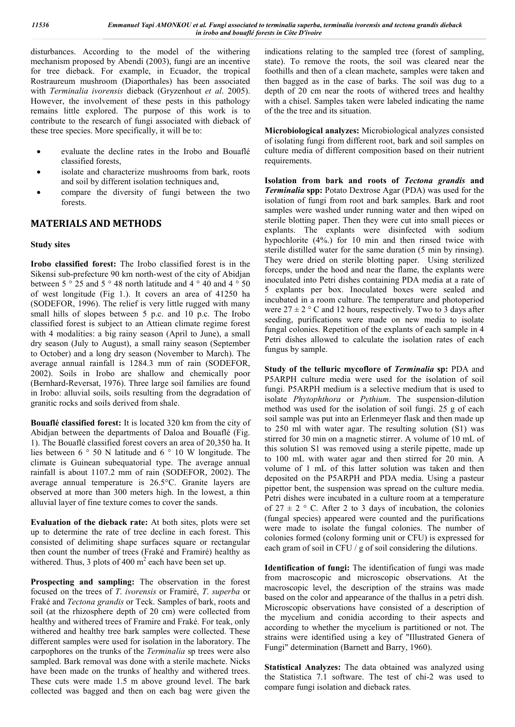disturbances. According to the model of the withering mechanism proposed by Abendi (2003), fungi are an incentive for tree dieback. For example, in Ecuador, the tropical Rostraureum mushroom (Diaporthales) has been associated with *Terminalia ivorensis* dieback (Gryzenhout *et al*. 2005). However, the involvement of these pests in this pathology remains little explored. The purpose of this work is to contribute to the research of fungi associated with dieback of these tree species. More specifically, it will be to:

- evaluate the decline rates in the Irobo and Bouaflé classified forests,
- isolate and characterize mushrooms from bark, roots and soil by different isolation techniques and,
- compare the diversity of fungi between the two forests.

## **MATERIALS AND METHODS**

#### **Study sites**

**Irobo classified forest:** The Irobo classified forest is in the Sikensi sub-prefecture 90 km north-west of the city of Abidjan between 5 ° 25 and 5 ° 48 north latitude and 4 ° 40 and 4 ° 50 of west longitude (Fig 1.). It covers an area of 41250 ha (SODEFOR, 1996). The relief is very little rugged with many small hills of slopes between 5 p.c. and 10 p.c. The Irobo classified forest is subject to an Attiean climate regime forest with 4 modalities: a big rainy season (April to June), a small dry season (July to August), a small rainy season (September to October) and a long dry season (November to March). The average annual rainfall is 1284.3 mm of rain (SODEFOR, 2002). Soils in Irobo are shallow and chemically poor (Bernhard-Reversat, 1976). Three large soil families are found in Irobo: alluvial soils, soils resulting from the degradation of granitic rocks and soils derived from shale.

**Bouaflé classified forest:** It is located 320 km from the city of Abidjan between the departments of Daloa and Bouaflé (Fig. 1). The Bouaflé classified forest covers an area of 20,350 ha. It lies between 6 ° 50 N latitude and 6 ° 10 W longitude. The climate is Guinean subequatorial type. The average annual rainfall is about 1107.2 mm of rain (SODEFOR, 2002). The average annual temperature is 26.5°C. Granite layers are observed at more than 300 meters high. In the lowest, a thin alluvial layer of fine texture comes to cover the sands.

**Evaluation of the dieback rate:** At both sites, plots were set up to determine the rate of tree decline in each forest. This consisted of delimiting shape surfaces square or rectangular then count the number of trees (Fraké and Framiré) healthy as withered. Thus, 3 plots of 400  $m^2$  each have been set up.

**Prospecting and sampling:** The observation in the forest focused on the trees of *T*. *ivorensis* or Framiré, *T*. *superba* or Fraké and *Tectona grandis* or Teck. Samples of bark, roots and soil (at the rhizosphere depth of 20 cm) were collected from healthy and withered trees of Framire and Fraké. For teak, only withered and healthy tree bark samples were collected. These different samples were used for isolation in the laboratory. The carpophores on the trunks of the *Terminalia* sp trees were also sampled. Bark removal was done with a sterile machete. Nicks have been made on the trunks of healthy and withered trees. These cuts were made 1.5 m above ground level. The bark collected was bagged and then on each bag were given the

indications relating to the sampled tree (forest of sampling, state). To remove the roots, the soil was cleared near the foothills and then of a clean machete, samples were taken and then bagged as in the case of barks. The soil was dug to a depth of 20 cm near the roots of withered trees and healthy with a chisel. Samples taken were labeled indicating the name of the the tree and its situation.

**Microbiological analyzes:** Microbiological analyzes consisted of isolating fungi from different root, bark and soil samples on culture media of different composition based on their nutrient requirements.

**Isolation from bark and roots of** *Tectona grandis* **and**  *Terminalia* **spp:** Potato Dextrose Agar (PDA) was used for the isolation of fungi from root and bark samples. Bark and root samples were washed under running water and then wiped on sterile blotting paper. Then they were cut into small pieces or explants. The explants were disinfected with sodium hypochlorite (4%.) for 10 min and then rinsed twice with sterile distilled water for the same duration (5 min by rinsing). They were dried on sterile blotting paper. Using sterilized forceps, under the hood and near the flame, the explants were inoculated into Petri dishes containing PDA media at a rate of 5 explants per box. Inoculated boxes were sealed and incubated in a room culture. The temperature and photoperiod were  $27 \pm 2$  ° C and 12 hours, respectively. Two to 3 days after seeding, purifications were made on new media to isolate fungal colonies. Repetition of the explants of each sample in 4 Petri dishes allowed to calculate the isolation rates of each fungus by sample.

**Study of the telluric mycoflore of** *Terminalia* **sp:** PDA and P5ARPH culture media were used for the isolation of soil fungi. P5ARPH medium is a selective medium that is used to isolate *Phytophthora* or *Pythium*. The suspension-dilution method was used for the isolation of soil fungi. 25 g of each soil sample was put into an Erlenmeyer flask and then made up to 250 ml with water agar. The resulting solution (S1) was stirred for 30 min on a magnetic stirrer. A volume of 10 mL of this solution S1 was removed using a sterile pipette, made up to 100 mL with water agar and then stirred for 20 min. A volume of 1 mL of this latter solution was taken and then deposited on the P5ARPH and PDA media. Using a pasteur pipettor bent, the suspension was spread on the culture media. Petri dishes were incubated in a culture room at a temperature of  $27 \pm 2$  ° C. After 2 to 3 days of incubation, the colonies (fungal species) appeared were counted and the purifications were made to isolate the fungal colonies. The number of colonies formed (colony forming unit or CFU) is expressed for each gram of soil in CFU / g of soil considering the dilutions.

**Identification of fungi:** The identification of fungi was made from macroscopic and microscopic observations. At the macroscopic level, the description of the strains was made based on the color and appearance of the thallus in a petri dish. Microscopic observations have consisted of a description of the mycelium and conidia according to their aspects and according to whether the mycelium is partitioned or not. The strains were identified using a key of "Illustrated Genera of Fungi" determination (Barnett and Barry, 1960).

**Statistical Analyzes:** The data obtained was analyzed using the Statistica 7.1 software. The test of chi-2 was used to compare fungi isolation and dieback rates.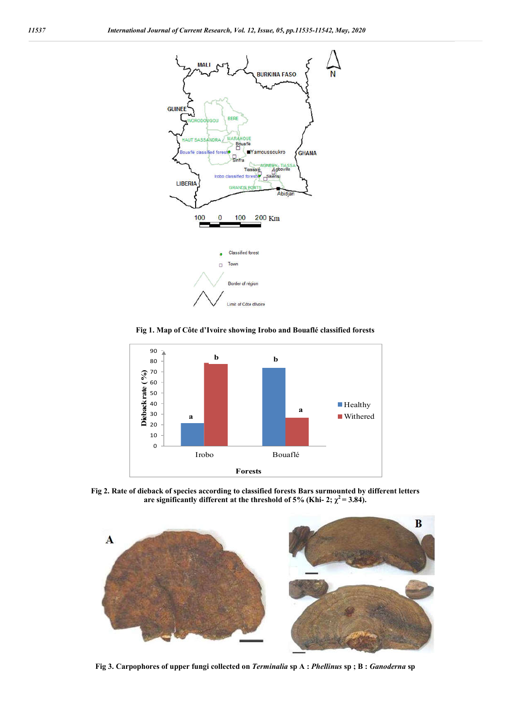

**Fig 1. Map of Côte d'Ivoire showing Irobo and Bouaflé classified forests**



**Fig 2. Rate of dieback of species according to classified forests Bars surmounted by different letters**  are significantly different at the threshold of 5% (Khi- 2;  $\chi^2$  = 3.84).



**Fig 3. Carpophores of upper fungi collected on** *Terminalia* **sp A :** *Phellinus* **sp ; B :** *Ganoderna* **sp**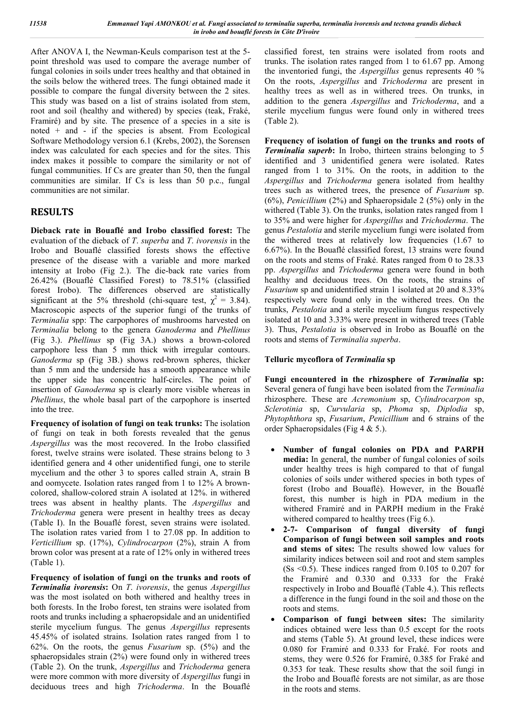After ANOVA I, the Newman-Keuls comparison test at the 5 point threshold was used to compare the average number of fungal colonies in soils under trees healthy and that obtained in the soils below the withered trees. The fungi obtained made it possible to compare the fungal diversity between the 2 sites. This study was based on a list of strains isolated from stem, root and soil (healthy and withered) by species (teak, Fraké, Framiré) and by site. The presence of a species in a site is noted  $+$  and  $-$  if the species is absent. From Ecological Software Methodology version 6.1 (Krebs, 2002), the Sorensen index was calculated for each species and for the sites. This index makes it possible to compare the similarity or not of fungal communities. If Cs are greater than 50, then the fungal communities are similar. If Cs is less than 50 p.c., fungal communities are not similar.

# **RESULTS**

**Dieback rate in Bouaflé and Irobo classified forest:** The evaluation of the dieback of *T*. *superba* and *T*. *ivorensis* in the Irobo and Bouaflé classified forests shows the effective presence of the disease with a variable and more marked intensity at Irobo (Fig 2.). The die-back rate varies from 26.42% (Bouaflé Classified Forest) to 78.51% (classified forest Irobo). The differences observed are statistically significant at the 5% threshold (chi-square test,  $\chi^2 = 3.84$ ). Macroscopic aspects of the superior fungi of the trunks of *Terminalia* spp: The carpophores of mushrooms harvested on *Terminalia* belong to the genera *Ganoderma* and *Phellinus* (Fig 3.). *Phellinus* sp (Fig 3A.) shows a brown-colored carpophore less than 5 mm thick with irregular contours. *Ganoderma* sp (Fig 3B.) shows red-brown spheres, thicker than 5 mm and the underside has a smooth appearance while the upper side has concentric half-circles. The point of insertion of *Ganoderma* sp is clearly more visible whereas in *Phellinus*, the whole basal part of the carpophore is inserted into the tree.

**Frequency of isolation of fungi on teak trunks:** The isolation of fungi on teak in both forests revealed that the genus *Aspergillus* was the most recovered. In the Irobo classified forest, twelve strains were isolated. These strains belong to 3 identified genera and 4 other unidentified fungi, one to sterile mycelium and the other 3 to spores called strain A, strain B and oomycete. Isolation rates ranged from 1 to 12% A browncolored, shallow-colored strain A isolated at 12%. in withered trees was absent in healthy plants. The *Aspergillus* and *Trichoderma* genera were present in healthy trees as decay (Table I). In the Bouaflé forest, seven strains were isolated. The isolation rates varied from 1 to 27.08 pp. In addition to *Verticillium* sp. (17%), *Cylindrocarpon* (2%), strain A from brown color was present at a rate of 12% only in withered trees (Table 1).

**Frequency of isolation of fungi on the trunks and roots of**  *Terminalia ivorensis***:** On *T*. *ivorensis*, the genus *Aspergillus* was the most isolated on both withered and healthy trees in both forests. In the Irobo forest, ten strains were isolated from roots and trunks including a sphaeropsidale and an unidentified sterile mycelium fungus. The genus *Aspergillus* represents 45.45% of isolated strains. Isolation rates ranged from 1 to 62%. On the roots, the genus *Fusarium* sp. (5%) and the sphaeropsidales strain (2%) were found only in withered trees (Table 2). On the trunk, *Aspergillus* and *Trichoderma* genera were more common with more diversity of *Aspergillus* fungi in deciduous trees and high *Trichoderma*. In the Bouaflé

classified forest, ten strains were isolated from roots and trunks. The isolation rates ranged from 1 to 61.67 pp. Among the inventoried fungi, the *Aspergillus* genus represents 40 % On the roots, *Aspergillus* and *Trichoderma* are present in healthy trees as well as in withered trees. On trunks, in addition to the genera *Aspergillus* and *Trichoderma*, and a sterile mycelium fungus were found only in withered trees (Table 2).

**Frequency of isolation of fungi on the trunks and roots of**  *Terminalia superb***:** In Irobo, thirteen strains belonging to 5 identified and 3 unidentified genera were isolated. Rates ranged from 1 to 31%. On the roots, in addition to the *Aspergillus* and *Trichoderma* genera isolated from healthy trees such as withered trees, the presence of *Fusarium* sp. (6%), *Penicillium* (2%) and Sphaeropsidale 2 (5%) only in the withered (Table 3). On the trunks, isolation rates ranged from 1 to 35% and were higher for *Aspergillus* and *Trichoderma*. The genus *Pestalotia* and sterile mycelium fungi were isolated from the withered trees at relatively low frequencies (1.67 to 6.67%). In the Bouaflé classified forest, 13 strains were found on the roots and stems of Fraké. Rates ranged from 0 to 28.33 pp. *Aspergillus* and *Trichoderma* genera were found in both healthy and deciduous trees. On the roots, the strains of *Fusarium* sp and unidentified strain 1 isolated at 20 and 8.33% respectively were found only in the withered trees. On the trunks, *Pestalotia* and a sterile mycelium fungus respectively isolated at 10 and 3.33% were present in withered trees (Table 3). Thus, *Pestalotia* is observed in Irobo as Bouaflé on the roots and stems of *Terminalia superba*.

#### **Telluric mycoflora of** *Terminalia* **sp**

**Fungi encountered in the rhizosphere of** *Terminalia* **sp:**  Several genera of fungi have been isolated from the *Terminalia* rhizosphere. These are *Acremonium* sp, *Cylindrocarpon* sp, *Sclerotinia* sp, *Curvularia* sp, *Phoma* sp, *Diplodia* sp, *Phytophthora* sp, *Fusarium*, *Penicillium* and 6 strains of the order Sphaeropsidales (Fig 4 & 5.).

- **Number of fungal colonies on PDA and PARPH media:** In general, the number of fungal colonies of soils under healthy trees is high compared to that of fungal colonies of soils under withered species in both types of forest (Irobo and Bouaflé). However, in the Bouaflé forest, this number is high in PDA medium in the withered Framiré and in PARPH medium in the Fraké withered compared to healthy trees (Fig 6.).
- **2-7- Comparison of fungal diversity of fungi Comparison of fungi between soil samples and roots and stems of sites:** The results showed low values for similarity indices between soil and root and stem samples  $(Ss \le 0.5)$ . These indices ranged from 0.105 to 0.207 for the Framiré and 0.330 and 0.333 for the Fraké respectively in Irobo and Bouaflé (Table 4.). This reflects a difference in the fungi found in the soil and those on the roots and stems.
- **Comparison of fungi between sites:** The similarity indices obtained were less than 0.5 except for the roots and stems (Table 5). At ground level, these indices were 0.080 for Framiré and 0.333 for Fraké. For roots and stems, they were 0.526 for Framiré, 0.385 for Fraké and 0.353 for teak. These results show that the soil fungi in the Irobo and Bouaflé forests are not similar, as are those in the roots and stems.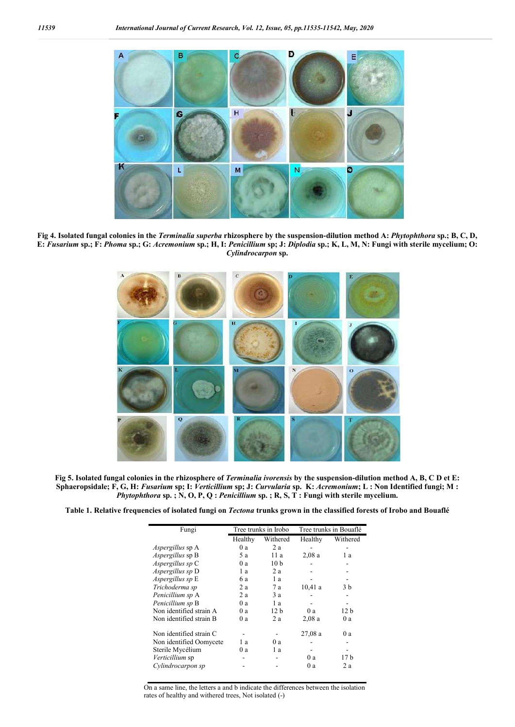

**Fig 4. Isolated fungal colonies in the** *Terminalia superba* **rhizosphere by the suspension-dilution method A:** *Phytophthora* **sp.; B, C, D, E:** *Fusarium* **sp.; F:** *Phoma* **sp.; G:** *Acremonium* **sp.; H, I:** *Penicillium* **sp; J:** *Diplodia* **sp.; K, L, M, N: Fungi with sterile mycelium; O:**  *Cylindrocarpon* **sp.**



**Fig 5. Isolated fungal colonies in the rhizosphere of** *Terminalia ivorensis* **by the suspension-dilution method A, B, C D et E: Sphaeropsidale; F, G, H:** *Fusarium* **sp; I:** *Verticillium* **sp; J:** *Curvularia* **sp. K:** *Acremonium***; L : Non Identified fungi; M :**  *Phytophthora* **sp. ; N, O, P, Q :** *Penicillium* **sp. ; R, S, T : Fungi with sterile mycelium.**

**Table 1. Relative frequencies of isolated fungi on** *Tectona* **trunks grown in the classified forests of Irobo and Bouaflé**

| Fungi                   | Tree trunks in Irobo |                 | Tree trunks in Bouaflé |                 |
|-------------------------|----------------------|-----------------|------------------------|-----------------|
|                         | Healthy              | Withered        | Healthy                | Withered        |
| <i>Aspergillus</i> sp A | 0a                   | 2a              |                        |                 |
| <i>Aspergillus</i> sp B | 5 a                  | 11 a            | 2,08a                  | 1a              |
| Aspergillus sp C        | 0a                   | 10 <sub>b</sub> |                        |                 |
| Aspergillus sp D        | 1 a                  | 2a              |                        |                 |
| Aspergillus sp E        | 6 a                  | 1a              |                        |                 |
| Trichoderma sp          | 2a                   | 7 a             | 10,41a                 | 3 b             |
| Penicillium sp A        | 2a                   | 3a              |                        |                 |
| Penicillium sp B        | 0a                   | 1a              |                        |                 |
| Non identified strain A | 0a                   | 12 <sub>h</sub> | 0a                     | 12 <sub>b</sub> |
| Non identified strain B | 0 a                  | 2a              | 2,08a                  | 0a              |
| Non identified strain C |                      |                 | 27,08a                 | 0a              |
| Non identified Oomycete | 1 a                  | 0a              |                        |                 |
| Sterile Mycélium        | 0 a                  | 1a              |                        |                 |
| Verticillium sp         |                      |                 | 0a                     | 17 b            |
| Cylindrocarpon sp       |                      |                 | 0 a                    | 2 a             |

On a same line, the letters a and b indicate the differences between the isolation rates of healthy and withered trees, Not isolated (-)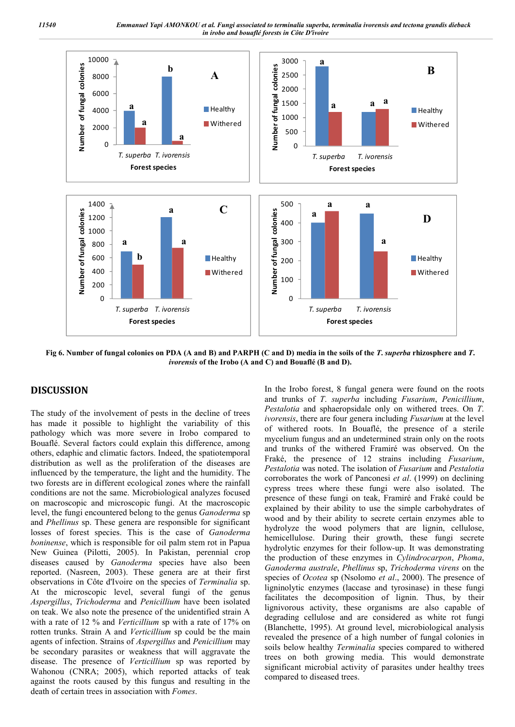*11540 Emmanuel Yapi AMONKOU et al. Fungi associated to terminalia superba, terminalia ivorensis and tectona grandis dieback in irobo and bouaflé forests in Côte D'ivoire*



**Fig 6. Number of fungal colonies on PDA (A and B) and PARPH (C and D) media in the soils of the** *T***.** *superba* **rhizosphere and** *T***.**  *ivorensis* **of the Irobo (A and C) and Bouaflé (B and D).**

#### **DISCUSSION**

The study of the involvement of pests in the decline of trees has made it possible to highlight the variability of this pathology which was more severe in Irobo compared to Bouaflé. Several factors could explain this difference, among others, edaphic and climatic factors. Indeed, the spatiotemporal distribution as well as the proliferation of the diseases are influenced by the temperature, the light and the humidity. The two forests are in different ecological zones where the rainfall conditions are not the same. Microbiological analyzes focused on macroscopic and microscopic fungi. At the macroscopic level, the fungi encountered belong to the genus *Ganoderma* sp and *Phellinus* sp. These genera are responsible for significant losses of forest species. This is the case of *Ganoderma boninense*, which is responsible for oil palm stem rot in Papua New Guinea (Pilotti, 2005). In Pakistan, perennial crop diseases caused by *Ganoderma* species have also been reported. (Nasreen, 2003). These genera are at their first observations in Côte d'Ivoire on the species of *Terminalia* sp. At the microscopic level, several fungi of the genus *Aspergillus*, *Trichoderma* and *Penicillium* have been isolated on teak. We also note the presence of the unidentified strain A with a rate of 12 % and *Verticillium* sp with a rate of 17% on rotten trunks. Strain A and *Verticillium* sp could be the main agents of infection. Strains of *Aspergillus* and *Penicillium* may be secondary parasites or weakness that will aggravate the disease. The presence of *Verticillium* sp was reported by Wahonou (CNRA; 2005), which reported attacks of teak against the roots caused by this fungus and resulting in the death of certain trees in association with *Fomes*.

In the Irobo forest, 8 fungal genera were found on the roots and trunks of *T*. *superba* including *Fusarium*, *Penicillium*, *Pestalotia* and sphaeropsidale only on withered trees. On *T*. *ivorensis*, there are four genera including *Fusarium* at the level of withered roots. In Bouaflé, the presence of a sterile mycelium fungus and an undetermined strain only on the roots and trunks of the withered Framiré was observed. On the Fraké, the presence of 12 strains including *Fusarium*, *Pestalotia* was noted. The isolation of *Fusarium* and *Pestalotia* corroborates the work of Panconesi *et al*. (1999) on declining cypress trees where these fungi were also isolated. The presence of these fungi on teak, Framiré and Fraké could be explained by their ability to use the simple carbohydrates of wood and by their ability to secrete certain enzymes able to hydrolyze the wood polymers that are lignin, cellulose, hemicellulose. During their growth, these fungi secrete hydrolytic enzymes for their follow-up. It was demonstrating the production of these enzymes in *Cylindrocarpon*, *Phoma*, *Ganoderma australe*, *Phellinus* sp, *Trichoderma virens* on the species of *Ocotea* sp (Nsolomo *et al*., 2000). The presence of ligninolytic enzymes (laccase and tyrosinase) in these fungi facilitates the decomposition of lignin. Thus, by their lignivorous activity, these organisms are also capable of degrading cellulose and are considered as white rot fungi (Blanchette, 1995). At ground level, microbiological analysis revealed the presence of a high number of fungal colonies in soils below healthy *Terminalia* species compared to withered trees on both growing media. This would demonstrate significant microbial activity of parasites under healthy trees compared to diseased trees.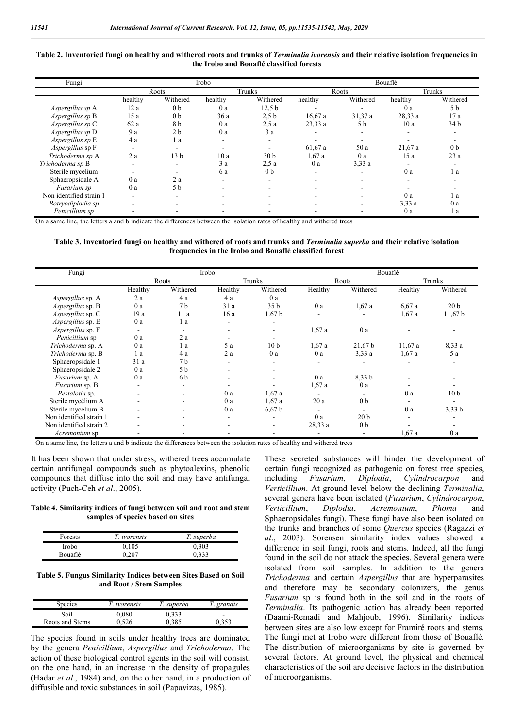#### **Table 2. Inventoried fungi on healthy and withered roots and trunks of** *Terminalia ivorensis* **and their relative isolation frequencies in the Irobo and Bouaflé classified forests**

| Fungi                   | Irobo                    |                 |         |                          | Bouaflé |          |         |                          |
|-------------------------|--------------------------|-----------------|---------|--------------------------|---------|----------|---------|--------------------------|
|                         |                          | Roots           | Trunks  |                          | Roots   |          | Trunks  |                          |
|                         | healthy                  | Withered        | healthy | Withered                 | healthy | Withered | healthy | Withered                 |
| Aspergillus sp A        | 12 a                     | 0 <sub>b</sub>  | 0a      | 12.5 <sub>b</sub>        |         |          | 0a      | 5 <sub>b</sub>           |
| Aspergillus sp B        | 15 a                     | 0 <sub>b</sub>  | 36a     | 2.5 <sub>b</sub>         | 16,67a  | 31,37 a  | 28,33 a | 17 a                     |
| Aspergillus sp C        | 62a                      | 8 b             | 0a      | 2.5a                     | 23,33 a | 5 b      | 10a     | 34 <sub>b</sub>          |
| Aspergillus sp D        | 9 a                      | 2 <sub>b</sub>  | 0a      | 3a                       |         |          |         | $\overline{\phantom{a}}$ |
| Aspergillus sp E        | 4a                       | l a             | ٠.      | $\overline{\phantom{a}}$ |         |          |         |                          |
| Aspergillus sp F        | $\overline{\phantom{a}}$ |                 | $\sim$  | ۰                        | 61,67 a | 50 a     | 21,67a  | 0 <sub>b</sub>           |
| Trichoderma sp A        | 2a                       | 13 <sub>b</sub> | 10 a    | 30 <sub>b</sub>          | 1,67a   | 0a       | 15a     | 23a                      |
| Trichoderma sp B        | $\overline{\phantom{a}}$ |                 | 3a      | 2.5a                     | 0a      | 3.33a    |         |                          |
| Sterile mycelium        |                          |                 | 6 a     | 0 <sub>b</sub>           | ۰       |          | 0a      | l a                      |
| Sphaeropsidale A        | 0a                       | 2 a             |         | $\overline{\phantom{a}}$ |         |          |         |                          |
| Fusarium sp             | 0a                       | 5 b             |         | $\sim$                   |         |          |         |                          |
| Non identified strain 1 | ۰                        |                 |         | -                        |         |          | 0a      | l a                      |
| Botryodiplodia sp       | ۰                        |                 |         | $\overline{\phantom{a}}$ | -       |          | 3.33a   | 0a                       |
| Penicillium sp          |                          |                 |         |                          |         |          | 0a      | 1 a                      |

On a same line, the letters a and b indicate the differences between the isolation rates of healthy and withered trees

**Table 3. Inventoried fungi on healthy and withered of roots and trunks and** *Terminalia superba* **and their relative isolation frequencies in the Irobo and Bouaflé classified forest**

| Fungi                   |                          |                          | Irobo   |                   |                          |                          | Bouaflé                  |                 |
|-------------------------|--------------------------|--------------------------|---------|-------------------|--------------------------|--------------------------|--------------------------|-----------------|
|                         |                          | Roots                    | Trunks  |                   | Roots                    |                          | Trunks                   |                 |
|                         | Healthy                  | Withered                 | Healthy | Withered          | Healthy                  | Withered                 | Healthy                  | Withered        |
| Aspergillus sp. A       | 2a                       | 4a                       | 4 a     | 0a                |                          |                          |                          |                 |
| Aspergillus sp. B       | 0a                       | 7 <sub>b</sub>           | 31a     | 35 <sub>b</sub>   | 0 a                      | 1,67a                    | 6,67a                    | 20 <sub>b</sub> |
| Aspergillus sp. C       | 19a                      | 11a                      | 16a     | 1.67 <sub>b</sub> |                          |                          | 1,67a                    | 11,67 b         |
| Aspergillus sp. E       | 0a                       | 1a                       | ۰       | ۰                 |                          |                          |                          |                 |
| Aspergillus sp. F       | $\overline{\phantom{a}}$ | $\overline{\phantom{a}}$ | ۰       | ٠.                | 1,67a                    | 0a                       |                          |                 |
| Penicillium sp          | 0a                       | 2a                       |         | ۰                 |                          |                          |                          |                 |
| Trichoderma sp. A       | 0a                       | 1 a                      | 5a      | 10 <sub>b</sub>   | 1,67a                    | 21,67 b                  | 11,67a                   | 8,33 a          |
| Trichoderma sp. B       | 1a                       | 4 a                      | 2a      | 0a                | 0a                       | 3.33a                    | 1,67a                    | 5a              |
| Sphaeropsidale 1        | 31a                      | 7 b                      | ۰       | ۰                 |                          |                          |                          |                 |
| Sphaeropsidale 2        | 0a                       | 5 b                      | ۰       | ۰                 |                          |                          |                          |                 |
| Fusarium sp. A          | 0a                       | 6 b                      | ۰       | ٠                 | 0 a                      | 8.33 <sub>b</sub>        | $\overline{\phantom{a}}$ |                 |
| <i>Fusarium</i> sp. B   | $\overline{\phantom{a}}$ | $\overline{\phantom{a}}$ | ۰       |                   | 1,67a                    | 0 a                      |                          |                 |
| Pestalotia sp.          |                          | $\overline{\phantom{0}}$ | 0a      | 1,67a             |                          |                          | 0a                       | 10 <sub>b</sub> |
| Sterile mycélium A      |                          | ۰                        | 0a      | 1,67a             | 20a                      | 0 <sub>b</sub>           |                          |                 |
| Sterile mycélium B      |                          | $\overline{\phantom{a}}$ | 0a      | 6,67b             | $\overline{\phantom{a}}$ | $\overline{\phantom{a}}$ | 0a                       | $3,33$ b        |
| Non identified strain 1 |                          | ۰                        | ٠       | ۰                 | 0a                       | 20 <sub>b</sub>          | $\overline{\phantom{a}}$ |                 |
| Non identified strain 2 |                          |                          | ۰       | ۰.                | 28,33 a                  | 0 <sub>b</sub>           |                          |                 |
| Acremonium sp           |                          |                          |         |                   |                          | $\overline{\phantom{a}}$ | 1,67a                    | 0a              |

On a same line, the letters a and b indicate the differences between the isolation rates of healthy and withered trees

It has been shown that under stress, withered trees accumulate certain antifungal compounds such as phytoalexins, phenolic compounds that diffuse into the soil and may have antifungal activity (Puch-Ceh *et al*., 2005).

**Table 4. Similarity indices of fungi between soil and root and stem samples of species based on sites**

| <b>Forests</b> | T. ivorensis | T. superba |  |
|----------------|--------------|------------|--|
| Irobo          | 0.105        | 0,303      |  |
| <b>Bouaflé</b> | 0.207        | 0.333      |  |

**Table 5. Fungus Similarity Indices between Sites Based on Soil and Root / Stem Samples**

| Species         | T. ivorensis | T. superba | T. grandis               |
|-----------------|--------------|------------|--------------------------|
| Soil            | 0.080        | 0.333      | $\overline{\phantom{a}}$ |
| Roots and Stems | 0.526        | 0.385      | 0.353                    |

The species found in soils under healthy trees are dominated by the genera *Penicillium*, *Aspergillus* and *Trichoderma*. The action of these biological control agents in the soil will consist, on the one hand, in an increase in the density of propagules (Hadar *et al*., 1984) and, on the other hand, in a production of diffusible and toxic substances in soil (Papavizas, 1985).

These secreted substances will hinder the development of certain fungi recognized as pathogenic on forest tree species,<br>including Fusarium, Diplodia, Cylindrocarpon and including *Fusarium*, *Diplodia*, *Cylindrocarpon* and *Verticillium*. At ground level below the declining *Terminalia*, several genera have been isolated (*Fusarium*, *Cylindrocarpon*, *Verticillium*, *Diplodia*, *Acremonium*, *Phoma* and Sphaeropsidales fungi). These fungi have also been isolated on the trunks and branches of some *Quercus* species (Ragazzi *et al*., 2003). Sorensen similarity index values showed a difference in soil fungi, roots and stems. Indeed, all the fungi found in the soil do not attack the species. Several genera were isolated from soil samples. In addition to the genera *Trichoderma* and certain *Aspergillus* that are hyperparasites and therefore may be secondary colonizers, the genus *Fusarium* sp is found both in the soil and in the roots of *Terminalia*. Its pathogenic action has already been reported (Daami-Remadi and Mahjoub, 1996). Similarity indices between sites are also low except for Framiré roots and stems. The fungi met at Irobo were different from those of Bouaflé. The distribution of microorganisms by site is governed by several factors. At ground level, the physical and chemical characteristics of the soil are decisive factors in the distribution of microorganisms.